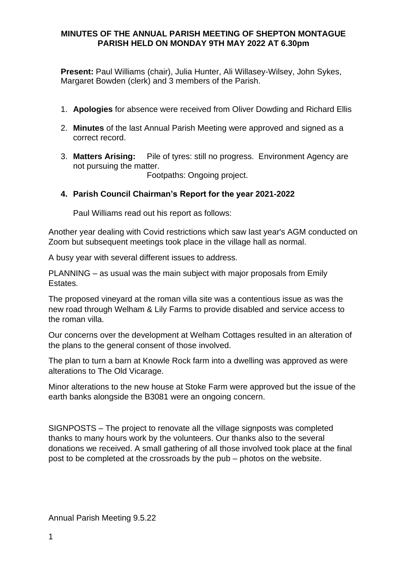## **MINUTES OF THE ANNUAL PARISH MEETING OF SHEPTON MONTAGUE PARISH HELD ON MONDAY 9TH MAY 2022 AT 6.30pm**

**Present:** Paul Williams (chair), Julia Hunter, Ali Willasey-Wilsey, John Sykes, Margaret Bowden (clerk) and 3 members of the Parish.

- 1. **Apologies** for absence were received from Oliver Dowding and Richard Ellis
- 2. **Minutes** of the last Annual Parish Meeting were approved and signed as a correct record.
- 3. **Matters Arising:** Pile of tyres: still no progress. Environment Agency are not pursuing the matter.

Footpaths: Ongoing project.

## **4. Parish Council Chairman's Report for the year 2021-2022**

Paul Williams read out his report as follows:

Another year dealing with Covid restrictions which saw last year's AGM conducted on Zoom but subsequent meetings took place in the village hall as normal.

A busy year with several different issues to address.

PLANNING – as usual was the main subject with major proposals from Emily Estates.

The proposed vineyard at the roman villa site was a contentious issue as was the new road through Welham & Lily Farms to provide disabled and service access to the roman villa.

Our concerns over the development at Welham Cottages resulted in an alteration of the plans to the general consent of those involved.

The plan to turn a barn at Knowle Rock farm into a dwelling was approved as were alterations to The Old Vicarage.

Minor alterations to the new house at Stoke Farm were approved but the issue of the earth banks alongside the B3081 were an ongoing concern.

SIGNPOSTS – The project to renovate all the village signposts was completed thanks to many hours work by the volunteers. Our thanks also to the several donations we received. A small gathering of all those involved took place at the final post to be completed at the crossroads by the pub – photos on the website.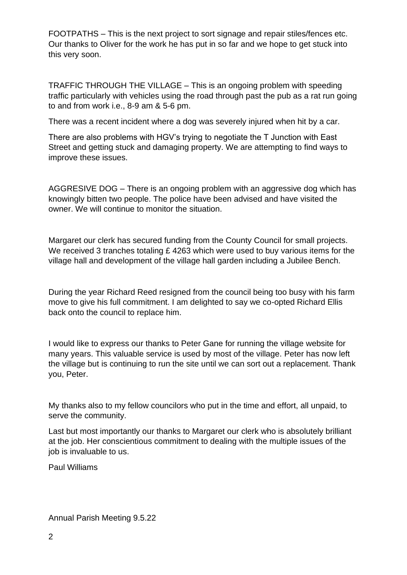FOOTPATHS – This is the next project to sort signage and repair stiles/fences etc. Our thanks to Oliver for the work he has put in so far and we hope to get stuck into this very soon.

TRAFFIC THROUGH THE VILLAGE – This is an ongoing problem with speeding traffic particularly with vehicles using the road through past the pub as a rat run going to and from work i.e., 8-9 am & 5-6 pm.

There was a recent incident where a dog was severely injured when hit by a car.

There are also problems with HGV's trying to negotiate the T Junction with East Street and getting stuck and damaging property. We are attempting to find ways to improve these issues.

AGGRESIVE DOG – There is an ongoing problem with an aggressive dog which has knowingly bitten two people. The police have been advised and have visited the owner. We will continue to monitor the situation.

Margaret our clerk has secured funding from the County Council for small projects. We received 3 tranches totaling £ 4263 which were used to buy various items for the village hall and development of the village hall garden including a Jubilee Bench.

During the year Richard Reed resigned from the council being too busy with his farm move to give his full commitment. I am delighted to say we co-opted Richard Ellis back onto the council to replace him.

I would like to express our thanks to Peter Gane for running the village website for many years. This valuable service is used by most of the village. Peter has now left the village but is continuing to run the site until we can sort out a replacement. Thank you, Peter.

My thanks also to my fellow councilors who put in the time and effort, all unpaid, to serve the community.

Last but most importantly our thanks to Margaret our clerk who is absolutely brilliant at the job. Her conscientious commitment to dealing with the multiple issues of the job is invaluable to us.

Paul Williams

Annual Parish Meeting 9.5.22